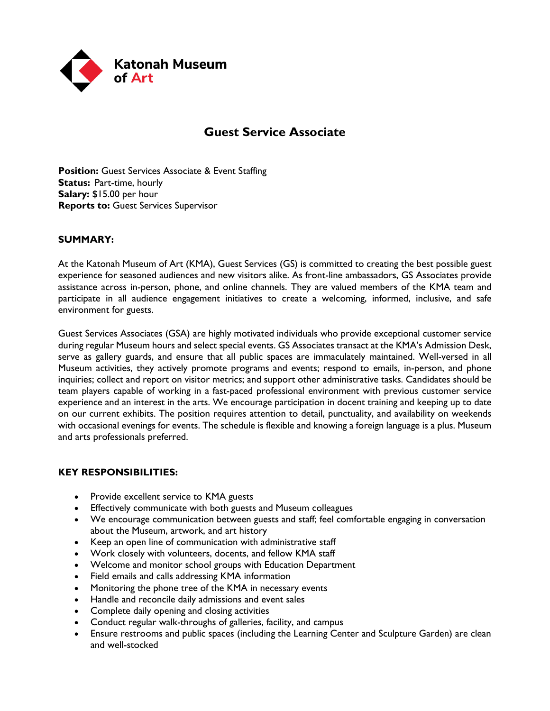

# **Guest Service Associate**

**Position:** Guest Services Associate & Event Staffing **Status:** Part-time, hourly **Salary:** \$15.00 per hour **Reports to:** Guest Services Supervisor

## **SUMMARY:**

At the Katonah Museum of Art (KMA), Guest Services (GS) is committed to creating the best possible guest experience for seasoned audiences and new visitors alike. As front-line ambassadors, GS Associates provide assistance across in-person, phone, and online channels. They are valued members of the KMA team and participate in all audience engagement initiatives to create a welcoming, informed, inclusive, and safe environment for guests.

Guest Services Associates (GSA) are highly motivated individuals who provide exceptional customer service during regular Museum hours and select special events. GS Associates transact at the KMA's Admission Desk, serve as gallery guards, and ensure that all public spaces are immaculately maintained. Well-versed in all Museum activities, they actively promote programs and events; respond to emails, in-person, and phone inquiries; collect and report on visitor metrics; and support other administrative tasks. Candidates should be team players capable of working in a fast-paced professional environment with previous customer service experience and an interest in the arts. We encourage participation in docent training and keeping up to date on our current exhibits. The position requires attention to detail, punctuality, and availability on weekends with occasional evenings for events. The schedule is flexible and knowing a foreign language is a plus. Museum and arts professionals preferred.

#### **KEY RESPONSIBILITIES:**

- Provide excellent service to KMA guests
- Effectively communicate with both guests and Museum colleagues
- We encourage communication between guests and staff; feel comfortable engaging in conversation about the Museum, artwork, and art history
- Keep an open line of communication with administrative staff
- Work closely with volunteers, docents, and fellow KMA staff
- Welcome and monitor school groups with Education Department
- Field emails and calls addressing KMA information
- Monitoring the phone tree of the KMA in necessary events
- Handle and reconcile daily admissions and event sales
- Complete daily opening and closing activities
- Conduct regular walk-throughs of galleries, facility, and campus
- Ensure restrooms and public spaces (including the Learning Center and Sculpture Garden) are clean and well-stocked